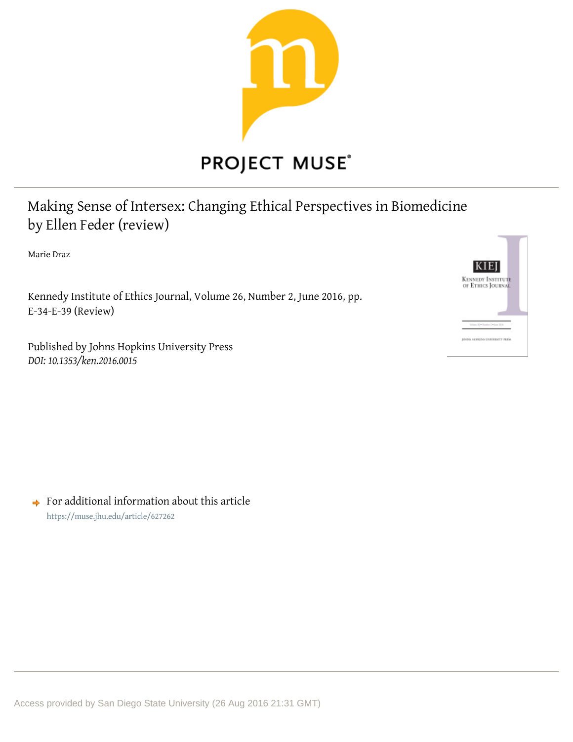

# **PROJECT MUSE®**

Making Sense of Intersex: Changing Ethical Perspectives in Biomedicine by Ellen Feder (review)

Marie Draz

Kennedy Institute of Ethics Journal, Volume 26, Number 2, June 2016, pp.  $E-34-E-39$  (Review)

Published by Johns Hopkins University Press DOI: 10.1353/ken.2016.0015



 $\rightarrow$  For additional information about this article https://muse.jhu.edu/article/627262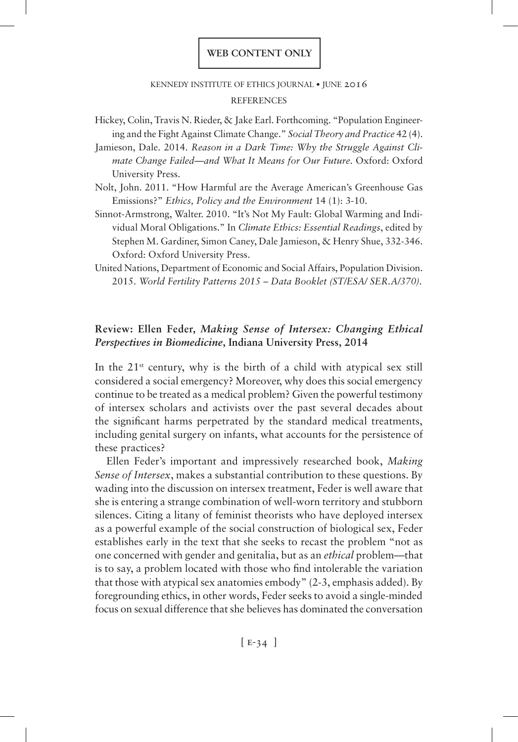# kennedy institute of ethics journal • june 2016 **REFERENCES**

- Hickey, Colin, Travis N. Rieder, & Jake Earl. Forthcoming. "Population Engineering and the Fight Against Climate Change." *Social Theory and Practice* 42 (4).
- Jamieson, Dale. 2014. *Reason in a Dark Time: Why the Struggle Against Climate Change Failed*—*and What It Means for Our Future.* Oxford: Oxford University Press.
- Nolt, John. 2011. "How Harmful are the Average American's Greenhouse Gas Emissions?" *Ethics, Policy and the Environment* 14 (1): 3-10.
- Sinnot-Armstrong, Walter. 2010. "It's Not My Fault: Global Warming and Individual Moral Obligations." In *Climate Ethics: Essential Readings*, edited by Stephen M. Gardiner, Simon Caney, Dale Jamieson, & Henry Shue, 332-346. Oxford: Oxford University Press.
- United Nations, Department of Economic and Social Affairs, Population Division. 2015. *World Fertility Patterns 2015 – Data Booklet (ST/ESA/ SER.A/370).*

# **Review: Ellen Feder,** *Making Sense of Intersex: Changing Ethical Perspectives in Biomedicine***, Indiana University Press, 2014**

In the  $21^{st}$  century, why is the birth of a child with atypical sex still considered a social emergency? Moreover, why does this social emergency continue to be treated as a medical problem? Given the powerful testimony of intersex scholars and activists over the past several decades about the significant harms perpetrated by the standard medical treatments, including genital surgery on infants, what accounts for the persistence of these practices?

Ellen Feder's important and impressively researched book, *Making Sense of Intersex*, makes a substantial contribution to these questions. By wading into the discussion on intersex treatment, Feder is well aware that she is entering a strange combination of well-worn territory and stubborn silences. Citing a litany of feminist theorists who have deployed intersex as a powerful example of the social construction of biological sex, Feder establishes early in the text that she seeks to recast the problem "not as one concerned with gender and genitalia, but as an *ethical* problem—that is to say, a problem located with those who find intolerable the variation that those with atypical sex anatomies embody" (2-3, emphasis added). By foregrounding ethics, in other words, Feder seeks to avoid a single-minded focus on sexual difference that she believes has dominated the conversation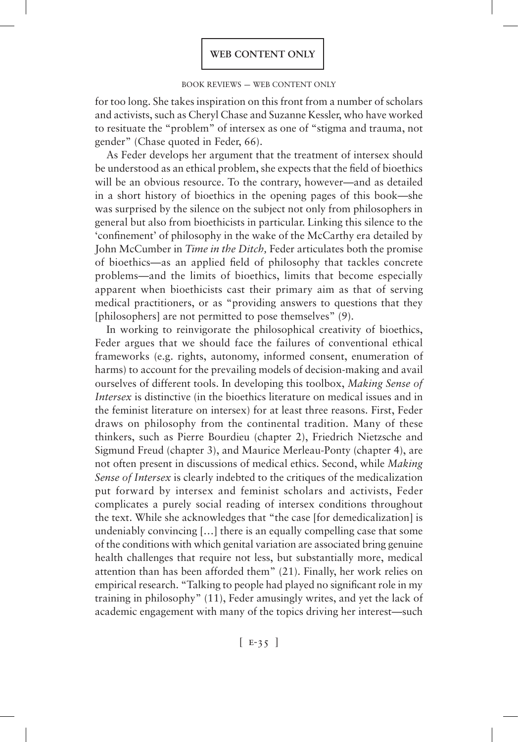#### book reviews — web content only

for too long. She takes inspiration on this front from a number of scholars and activists, such as Cheryl Chase and Suzanne Kessler, who have worked to resituate the "problem" of intersex as one of "stigma and trauma, not gender" (Chase quoted in Feder, 66).

As Feder develops her argument that the treatment of intersex should be understood as an ethical problem, she expects that the field of bioethics will be an obvious resource. To the contrary, however—and as detailed in a short history of bioethics in the opening pages of this book—she was surprised by the silence on the subject not only from philosophers in general but also from bioethicists in particular. Linking this silence to the 'confinement' of philosophy in the wake of the McCarthy era detailed by John McCumber in *Time in the Ditch,* Feder articulates both the promise of bioethics—as an applied field of philosophy that tackles concrete problems—and the limits of bioethics, limits that become especially apparent when bioethicists cast their primary aim as that of serving medical practitioners, or as "providing answers to questions that they [philosophers] are not permitted to pose themselves" (9).

In working to reinvigorate the philosophical creativity of bioethics, Feder argues that we should face the failures of conventional ethical frameworks (e.g. rights, autonomy, informed consent, enumeration of harms) to account for the prevailing models of decision-making and avail ourselves of different tools. In developing this toolbox, *Making Sense of Intersex* is distinctive (in the bioethics literature on medical issues and in the feminist literature on intersex) for at least three reasons. First, Feder draws on philosophy from the continental tradition. Many of these thinkers, such as Pierre Bourdieu (chapter 2), Friedrich Nietzsche and Sigmund Freud (chapter 3), and Maurice Merleau-Ponty (chapter 4), are not often present in discussions of medical ethics. Second, while *Making Sense of Intersex* is clearly indebted to the critiques of the medicalization put forward by intersex and feminist scholars and activists, Feder complicates a purely social reading of intersex conditions throughout the text. While she acknowledges that "the case [for demedicalization] is undeniably convincing […] there is an equally compelling case that some of the conditions with which genital variation are associated bring genuine health challenges that require not less, but substantially more, medical attention than has been afforded them" (21). Finally, her work relies on empirical research. "Talking to people had played no significant role in my training in philosophy" (11), Feder amusingly writes, and yet the lack of academic engagement with many of the topics driving her interest—such

 $[E-35]$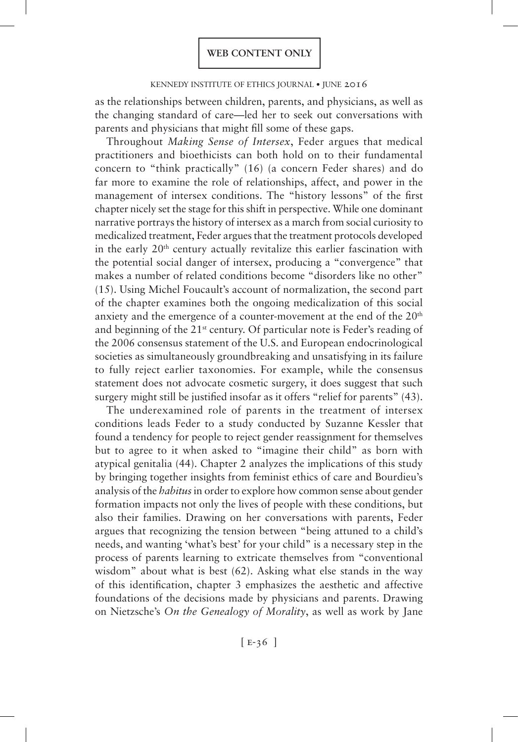### kennedy institute of ethics journal • june 2016

as the relationships between children, parents, and physicians, as well as the changing standard of care—led her to seek out conversations with parents and physicians that might fill some of these gaps.

Throughout *Making Sense of Intersex*, Feder argues that medical practitioners and bioethicists can both hold on to their fundamental concern to "think practically" (16) (a concern Feder shares) and do far more to examine the role of relationships, affect, and power in the management of intersex conditions. The "history lessons" of the first chapter nicely set the stage for this shift in perspective. While one dominant narrative portrays the history of intersex as a march from social curiosity to medicalized treatment, Feder argues that the treatment protocols developed in the early 20<sup>th</sup> century actually revitalize this earlier fascination with the potential social danger of intersex, producing a "convergence" that makes a number of related conditions become "disorders like no other" (15). Using Michel Foucault's account of normalization, the second part of the chapter examines both the ongoing medicalization of this social anxiety and the emergence of a counter-movement at the end of the 20<sup>th</sup> and beginning of the 21st century. Of particular note is Feder's reading of the 2006 consensus statement of the U.S. and European endocrinological societies as simultaneously groundbreaking and unsatisfying in its failure to fully reject earlier taxonomies. For example, while the consensus statement does not advocate cosmetic surgery, it does suggest that such surgery might still be justified insofar as it offers "relief for parents" (43).

The underexamined role of parents in the treatment of intersex conditions leads Feder to a study conducted by Suzanne Kessler that found a tendency for people to reject gender reassignment for themselves but to agree to it when asked to "imagine their child" as born with atypical genitalia (44). Chapter 2 analyzes the implications of this study by bringing together insights from feminist ethics of care and Bourdieu's analysis of the *habitus* in order to explore how common sense about gender formation impacts not only the lives of people with these conditions, but also their families. Drawing on her conversations with parents, Feder argues that recognizing the tension between "being attuned to a child's needs, and wanting 'what's best' for your child" is a necessary step in the process of parents learning to extricate themselves from "conventional wisdom" about what is best (62). Asking what else stands in the way of this identification, chapter 3 emphasizes the aesthetic and affective foundations of the decisions made by physicians and parents. Drawing on Nietzsche's *On the Genealogy of Morality*, as well as work by Jane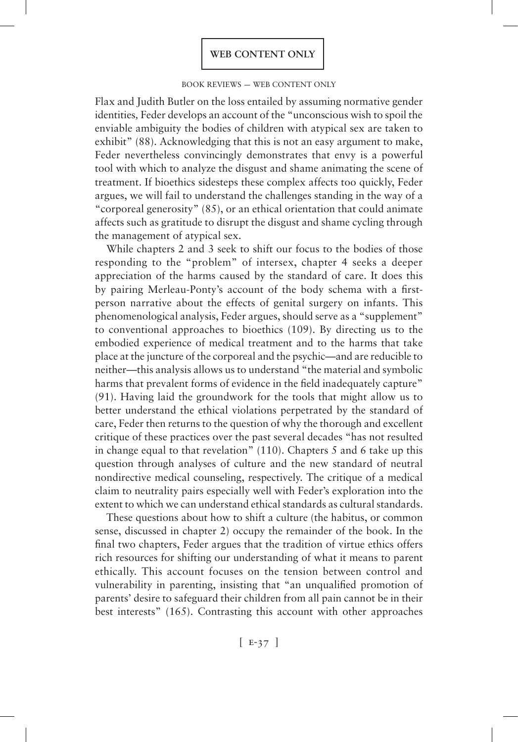#### book reviews — web content only

Flax and Judith Butler on the loss entailed by assuming normative gender identities*,* Feder develops an account of the "unconscious wish to spoil the enviable ambiguity the bodies of children with atypical sex are taken to exhibit" (88). Acknowledging that this is not an easy argument to make, Feder nevertheless convincingly demonstrates that envy is a powerful tool with which to analyze the disgust and shame animating the scene of treatment. If bioethics sidesteps these complex affects too quickly, Feder argues, we will fail to understand the challenges standing in the way of a "corporeal generosity" (85), or an ethical orientation that could animate affects such as gratitude to disrupt the disgust and shame cycling through the management of atypical sex.

While chapters 2 and 3 seek to shift our focus to the bodies of those responding to the "problem" of intersex, chapter 4 seeks a deeper appreciation of the harms caused by the standard of care. It does this by pairing Merleau-Ponty's account of the body schema with a firstperson narrative about the effects of genital surgery on infants. This phenomenological analysis, Feder argues, should serve as a "supplement" to conventional approaches to bioethics (109). By directing us to the embodied experience of medical treatment and to the harms that take place at the juncture of the corporeal and the psychic—and are reducible to neither—this analysis allows us to understand "the material and symbolic harms that prevalent forms of evidence in the field inadequately capture" (91). Having laid the groundwork for the tools that might allow us to better understand the ethical violations perpetrated by the standard of care, Feder then returns to the question of why the thorough and excellent critique of these practices over the past several decades "has not resulted in change equal to that revelation" (110). Chapters 5 and 6 take up this question through analyses of culture and the new standard of neutral nondirective medical counseling, respectively. The critique of a medical claim to neutrality pairs especially well with Feder's exploration into the extent to which we can understand ethical standards as cultural standards.

These questions about how to shift a culture (the habitus, or common sense, discussed in chapter 2) occupy the remainder of the book. In the final two chapters, Feder argues that the tradition of virtue ethics offers rich resources for shifting our understanding of what it means to parent ethically. This account focuses on the tension between control and vulnerability in parenting, insisting that "an unqualified promotion of parents' desire to safeguard their children from all pain cannot be in their best interests" (165). Contrasting this account with other approaches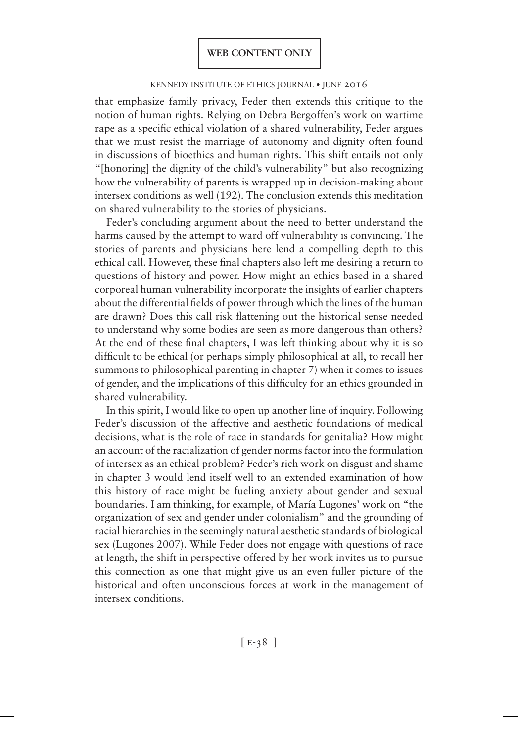## kennedy institute of ethics journal • june 2016

that emphasize family privacy, Feder then extends this critique to the notion of human rights. Relying on Debra Bergoffen's work on wartime rape as a specific ethical violation of a shared vulnerability, Feder argues that we must resist the marriage of autonomy and dignity often found in discussions of bioethics and human rights. This shift entails not only "[honoring] the dignity of the child's vulnerability" but also recognizing how the vulnerability of parents is wrapped up in decision-making about intersex conditions as well (192). The conclusion extends this meditation on shared vulnerability to the stories of physicians.

Feder's concluding argument about the need to better understand the harms caused by the attempt to ward off vulnerability is convincing. The stories of parents and physicians here lend a compelling depth to this ethical call. However, these final chapters also left me desiring a return to questions of history and power. How might an ethics based in a shared corporeal human vulnerability incorporate the insights of earlier chapters about the differential fields of power through which the lines of the human are drawn? Does this call risk flattening out the historical sense needed to understand why some bodies are seen as more dangerous than others? At the end of these final chapters, I was left thinking about why it is so difficult to be ethical (or perhaps simply philosophical at all, to recall her summons to philosophical parenting in chapter 7) when it comes to issues of gender, and the implications of this difficulty for an ethics grounded in shared vulnerability.

In this spirit, I would like to open up another line of inquiry. Following Feder's discussion of the affective and aesthetic foundations of medical decisions, what is the role of race in standards for genitalia? How might an account of the racialization of gender norms factor into the formulation of intersex as an ethical problem? Feder's rich work on disgust and shame in chapter 3 would lend itself well to an extended examination of how this history of race might be fueling anxiety about gender and sexual boundaries. I am thinking, for example, of María Lugones' work on "the organization of sex and gender under colonialism" and the grounding of racial hierarchies in the seemingly natural aesthetic standards of biological sex (Lugones 2007). While Feder does not engage with questions of race at length, the shift in perspective offered by her work invites us to pursue this connection as one that might give us an even fuller picture of the historical and often unconscious forces at work in the management of intersex conditions.